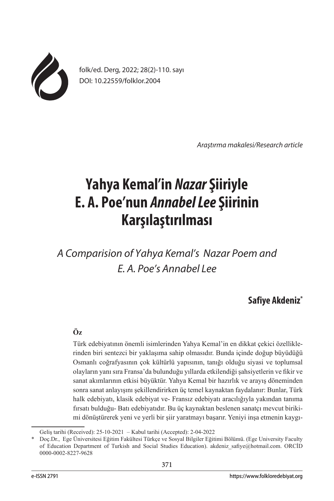

folk/ed. Derg, 2022; 28(2)-110. sayı DOI: 10.22559/folklor.2004

*Araştırma makalesi/Research article*

# **Yahya Kemal'in Nazar Şiiriyle E. A. Poe'nun Annabel Lee Şiirinin Karşılaştırılması**

*A Comparision of Yahya Kemal's Nazar Poem and E. A. Poe's Annabel Lee*

**Safiye Akdeniz\***

# **Öz**

Türk edebiyatının önemli isimlerinden Yahya Kemal'in en dikkat çekici özelliklerinden biri sentezci bir yaklaşıma sahip olmasıdır. Bunda içinde doğup büyüdüğü Osmanlı coğrafyasının çok kültürlü yapısının, tanığı olduğu siyasi ve toplumsal olayların yanı sıra Fransa'da bulunduğu yıllarda etkilendiği şahsiyetlerin ve fikir ve sanat akımlarının etkisi büyüktür. Yahya Kemal bir hazırlık ve arayış döneminden sonra sanat anlayışını şekillendirirken üç temel kaynaktan faydalanır: Bunlar, Türk halk edebiyatı, klasik edebiyat ve- Fransız edebiyatı aracılığıyla yakından tanıma fırsatı bulduğu- Batı edebiyatıdır. Bu üç kaynaktan beslenen sanatçı mevcut birikimi dönüştürerek yeni ve yerli bir şiir yaratmayı başarır. Yeniyi inşa etmenin kaygı-

Geliş tarihi (Received): 25-10-2021 – Kabul tarihi (Accepted): 2-04-2022

<sup>\*</sup> Doç.Dr., Ege Üniversitesi Eğitim Fakültesi Türkçe ve Sosyal Bilgiler Eğitimi Bölümü. (Ege University Faculty of Education Department of Turkish and Social Studies Education). akdeniz\_safiye@hotmail.com. ORCİD 0000-0002-8227-9628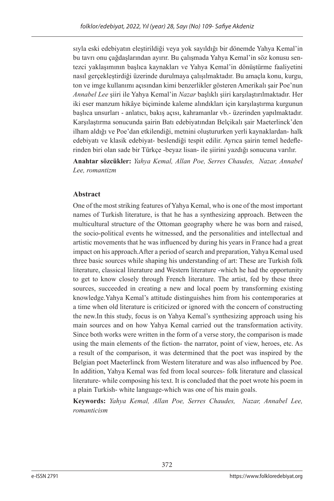sıyla eski edebiyatın eleştirildiği veya yok sayıldığı bir dönemde Yahya Kemal'in bu tavrı onu çağdaşlarından ayırır. Bu çalışmada Yahya Kemal'in söz konusu sentezci yaklaşımının başlıca kaynakları ve Yahya Kemal'in dönüştürme faaliyetini nasıl gerçekleştirdiği üzerinde durulmaya çalışılmaktadır. Bu amaçla konu, kurgu, ton ve imge kullanımı açısından kimi benzerlikler gösteren Amerikalı şair Poe'nun *Annabel Lee* şiiri ile Yahya Kemal'in *Nazar* başlıklı şiiri karşılaştırılmaktadır. Her iki eser manzum hikâye biçiminde kaleme alındıkları için karşılaştırma kurgunun başlıca unsurları - anlatıcı, bakış açısı, kahramanlar vb.- üzerinden yapılmaktadır. Karşılaştırma sonucunda şairin Batı edebiyatından Belçikalı şair Maeterlinck'den ilham aldığı ve Poe'dan etkilendiği, metnini oluştururken yerli kaynaklardan- halk edebiyatı ve klasik edebiyat- beslendiği tespit edilir. Ayrıca şairin temel hedeflerinden biri olan sade bir Türkçe -beyaz lisan- ile şiirini yazdığı sonucuna varılır.

**Anahtar sözcükler:** *Yahya Kemal, Allan Poe, Serres Chaudes, Nazar, Annabel Lee, romantizm*

# **Abstract**

One of the most striking features of Yahya Kemal, who is one of the most important names of Turkish literature, is that he has a synthesizing approach. Between the multicultural structure of the Ottoman geography where he was born and raised, the socio-political events he witnessed, and the personalities and intellectual and artistic movements that he was influenced by during his years in France had a great impact on his approach.After a period of search and preparation, Yahya Kemal used three basic sources while shaping his understanding of art: These are Turkish folk literature, classical literature and Western literature -which he had the opportunity to get to know closely through French literature. The artist, fed by these three sources, succeeded in creating a new and local poem by transforming existing knowledge.Yahya Kemal's attitude distinguishes him from his contemporaries at a time when old literature is criticized or ignored with the concern of constructing the new.In this study, focus is on Yahya Kemal's synthesizing approach using his main sources and on how Yahya Kemal carried out the transformation activity. Since both works were written in the form of a verse story, the comparison is made using the main elements of the fiction- the narrator, point of view, heroes, etc. As a result of the comparison, it was determined that the poet was inspired by the Belgian poet Maeterlinck from Western literature and was also influenced by Poe. In addition, Yahya Kemal was fed from local sources- folk literature and classical literature- while composing his text. It is concluded that the poet wrote his poem in a plain Turkish- white language-which was one of his main goals.

**Keywords:** *Yahya Kemal, Allan Poe, Serres Chaudes, Nazar, Annabel Lee, romanticism*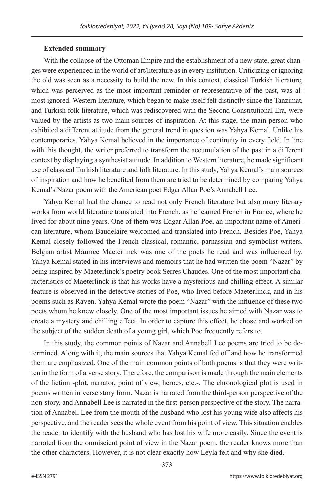# **Extended summary**

With the collapse of the Ottoman Empire and the establishment of a new state, great changes were experienced in the world of art/literature as in every institution. Criticizing or ignoring the old was seen as a necessity to build the new. In this context, classical Turkish literature, which was perceived as the most important reminder or representative of the past, was almost ignored. Western literature, which began to make itself felt distinctly since the Tanzimat, and Turkish folk literature, which was rediscovered with the Second Constitutional Era, were valued by the artists as two main sources of inspiration. At this stage, the main person who exhibited a different attitude from the general trend in question was Yahya Kemal. Unlike his contemporaries, Yahya Kemal believed in the importance of continuity in every field. In line with this thought, the writer preferred to transform the accumulation of the past in a different context by displaying a synthesist attitude. In addition to Western literature, he made significant use of classical Turkish literature and folk literature. In this study, Yahya Kemal's main sources of inspiration and how he benefited from them are tried to be determined by comparing Yahya Kemal's Nazar poem with the American poet Edgar Allan Poe's Annabell Lee.

Yahya Kemal had the chance to read not only French literature but also many literary works from world literature translated into French, as he learned French in France, where he lived for about nine years. One of them was Edgar Allan Poe, an important name of American literature, whom Baudelaire welcomed and translated into French. Besides Poe, Yahya Kemal closely followed the French classical, romantic, parnassian and symbolist writers. Belgian artist Maurice Maeterlinck was one of the poets he read and was influenced by. Yahya Kemal stated in his interviews and memoirs that he had written the poem "Nazar" by being inspired by Maeterlinck's poetry book Serres Chaudes. One of the most important characteristics of Maeterlinck is that his works have a mysterious and chilling effect. A similar feature is observed in the detective stories of Poe, who lived before Maeterlinck, and in his poems such as Raven. Yahya Kemal wrote the poem "Nazar" with the influence of these two poets whom he knew closely. One of the most important issues he aimed with Nazar was to create a mystery and chilling effect. In order to capture this effect, he chose and worked on the subject of the sudden death of a young girl, which Poe frequently refers to.

In this study, the common points of Nazar and Annabell Lee poems are tried to be determined. Along with it, the main sources that Yahya Kemal fed off and how he transformed them are emphasized. One of the main common points of both poems is that they were written in the form of a verse story. Therefore, the comparison is made through the main elements of the fiction -plot, narrator, point of view, heroes, etc.-. The chronological plot is used in poems written in verse story form. Nazar is narrated from the third-person perspective of the non-story, and Annabell Lee is narrated in the first-person perspective of the story. The narration of Annabell Lee from the mouth of the husband who lost his young wife also affects his perspective, and the reader sees the whole event from his point of view. This situation enables the reader to identify with the husband who has lost his wife more easily. Since the event is narrated from the omniscient point of view in the Nazar poem, the reader knows more than the other characters. However, it is not clear exactly how Leyla felt and why she died.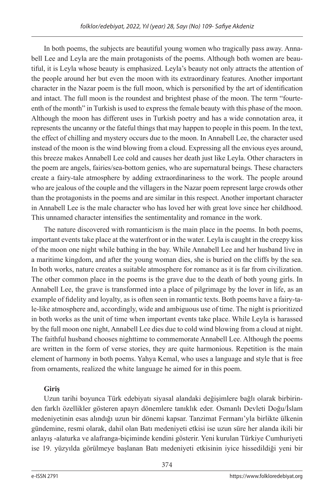In both poems, the subjects are beautiful young women who tragically pass away. Annabell Lee and Leyla are the main protagonists of the poems. Although both women are beautiful, it is Leyla whose beauty is emphasized. Leyla's beauty not only attracts the attention of the people around her but even the moon with its extraordinary features. Another important character in the Nazar poem is the full moon, which is personified by the art of identification and intact. The full moon is the roundest and brightest phase of the moon. The term "fourteenth of the month" in Turkish is used to express the female beauty with this phase of the moon. Although the moon has different uses in Turkish poetry and has a wide connotation area, it represents the uncanny or the fateful things that may happen to people in this poem. In the text, the effect of chilling and mystery occurs due to the moon. In Annabell Lee, the character used instead of the moon is the wind blowing from a cloud. Expressing all the envious eyes around, this breeze makes Annabell Lee cold and causes her death just like Leyla. Other characters in the poem are angels, fairies/sea-bottom genies, who are supernatural beings. These characters create a fairy-tale atmosphere by adding extraordinariness to the work. The people around who are jealous of the couple and the villagers in the Nazar poem represent large crowds other than the protagonists in the poems and are similar in this respect. Another important character in Annabell Lee is the male character who has loved her with great love since her childhood. This unnamed character intensifies the sentimentality and romance in the work.

The nature discovered with romanticism is the main place in the poems. In both poems, important events take place at the waterfront or in the water. Leyla is caught in the creepy kiss of the moon one night while bathing in the bay. While Annabell Lee and her husband live in a maritime kingdom, and after the young woman dies, she is buried on the cliffs by the sea. In both works, nature creates a suitable atmosphere for romance as it is far from civilization. The other common place in the poems is the grave due to the death of both young girls. In Annabell Lee, the grave is transformed into a place of pilgrimage by the lover in life, as an example of fidelity and loyalty, as is often seen in romantic texts. Both poems have a fairy-tale-like atmosphere and, accordingly, wide and ambiguous use of time. The night is prioritized in both works as the unit of time when important events take place. While Leyla is harassed by the full moon one night, Annabell Lee dies due to cold wind blowing from a cloud at night. The faithful husband chooses nighttime to commemorate Annabell Lee. Although the poems are written in the form of verse stories, they are quite harmonious. Repetition is the main element of harmony in both poems. Yahya Kemal, who uses a language and style that is free from ornaments, realized the white language he aimed for in this poem.

# **Giriş**

Uzun tarihi boyunca Türk edebiyatı siyasal alandaki değişimlere bağlı olarak birbirinden farklı özellikler gösteren apayrı dönemlere tanıklık eder. Osmanlı Devleti Doğu/İslam medeniyetinin esas alındığı uzun bir dönemi kapsar. Tanzimat Fermanı'yla birlikte ülkenin gündemine, resmi olarak, dahil olan Batı medeniyeti etkisi ise uzun süre her alanda ikili bir anlayış -alaturka ve alafranga-biçiminde kendini gösterir. Yeni kurulan Türkiye Cumhuriyeti ise 19. yüzyılda görülmeye başlanan Batı medeniyeti etkisinin iyice hissedildiği yeni bir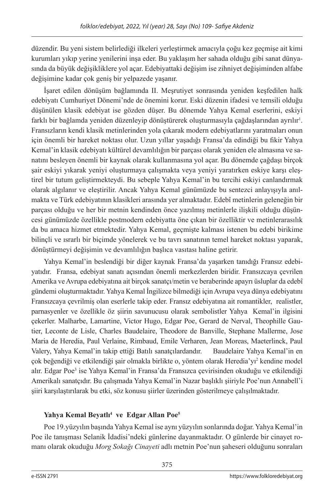düzendir. Bu yeni sistem belirlediği ilkeleri yerleştirmek amacıyla çoğu kez geçmişe ait kimi kurumları yıkıp yerine yenilerini inşa eder. Bu yaklaşım her sahada olduğu gibi sanat dünyasında da büyük değişikliklere yol açar. Edebiyattaki değişim ise zihniyet değişiminden alfabe değişimine kadar çok geniş bir yelpazede yaşanır.

İşaret edilen dönüşüm bağlamında II. Meşrutiyet sonrasında yeniden keşfedilen halk edebiyatı Cumhuriyet Dönemi'nde de önemini korur. Eski düzenin ifadesi ve temsili olduğu düşünülen klasik edebiyat ise gözden düşer. Bu dönemde Yahya Kemal eserlerini, eskiyi farklı bir bağlamda yeniden düzenleyip dönüştürerek oluşturmasıyla çağdaşlarından ayrılır $^1$ . Fransızların kendi klasik metinlerinden yola çıkarak modern edebiyatlarını yaratmaları onun için önemli bir hareket noktası olur. Uzun yıllar yaşadığı Fransa'da edindiği bu fikir Yahya Kemal'in klasik edebiyatı kültürel devamlılığın bir parçası olarak yeniden ele almasına ve sanatını besleyen önemli bir kaynak olarak kullanmasına yol açar. Bu dönemde çağdaşı birçok şair eskiyi yıkarak yeniyi oluşturmaya çalışmakta veya yeniyi yaratırken eskiye karşı eleştirel bir tutum geliştirmekteydi. Bu sebeple Yahya Kemal'in bu tercihi eskiyi canlandırmak olarak algılanır ve eleştirilir. Ancak Yahya Kemal günümüzde bu sentezci anlayışıyla anılmakta ve Türk edebiyatının klasikleri arasında yer almaktadır. Edebî metinlerin geleneğin bir parçası olduğu ve her bir metnin kendinden önce yazılmış metinlerle ilişkili olduğu düşüncesi günümüzde özellikle postmodern edebiyatta öne çıkan bir özelliktir ve metinlerarasılık da bu amaca hizmet etmektedir. Yahya Kemal, geçmişte kalması istenen bu edebi birikime bilinçli ve ısrarlı bir biçimde yönelerek ve bu tavrı sanatının temel hareket noktası yaparak, dönüştürmeyi değişimin ve devamlılığın başlıca vasıtası haline getirir.

Yahya Kemal'in beslendiği bir diğer kaynak Fransa'da yaşarken tanıdığı Fransız edebiyatıdır. Fransa, edebiyat sanatı açısından önemli merkezlerden biridir. Fransızcaya çevrilen Amerika ve Avrupa edebiyatına ait birçok sanatçı/metin ve beraberinde apayrı üsluplar da edebî gündemi oluşturmaktadır. Yahya Kemal İngilizce bilmediği için Avrupa veya dünya edebiyatını Fransızcaya çevrilmiş olan eserlerle takip eder. Fransız edebiyatına ait romantikler, realistler, parnasyenler ve özellikle öz şiirin savunucusu olarak sembolistler Yahya Kemal'in ilgisini çekerler. Malharbe, Lamartine, Victor Hugo, Edgar Poe, Gerard de Nerval, Theophille Gautier, Leconte de Lisle, Charles Baudelaire, Theodore de Banville, Stephane Mallerme, Jose Maria de Heredia, Paul Verlaine, Rimbaud, Emile Verharen, Jean Moreas, Maeterlinck, Paul Valery, Yahya Kemal'in takip ettiği Batılı sanatçılardandır. Baudelaire Yahya Kemal'in en çok beğendiği ve etkilendiği şair olmakla birlikte o, yöntem olarak Heredia'yı<sup>2</sup> kendine model alır. Edgar Poe<sup>3</sup> ise Yahya Kemal'in Fransa'da Fransızca çevirisinden okuduğu ve etkilendiği Amerikalı sanatçıdır. Bu çalışmada Yahya Kemal'in Nazar başlıklı şiiriyle Poe'nun Annabell'i şiiri karşılaştırılarak bu etki, söz konusu şiirler üzerinden gösterilmeye çalışılmaktadır.

# **Yahya Kemal Beyatlı<sup>4</sup> ve Edgar Allan Poe5**

Poe 19.yüzyılın başında Yahya Kemal ise aynı yüzyılın sonlarında doğar. Yahya Kemal'in Poe ile tanışması Selanik İdadisi'ndeki günlerine dayanmaktadır. O günlerde bir cinayet romanı olarak okuduğu *Morg Sokağı Cinayeti* adlı metnin Poe'nun şaheseri olduğunu sonraları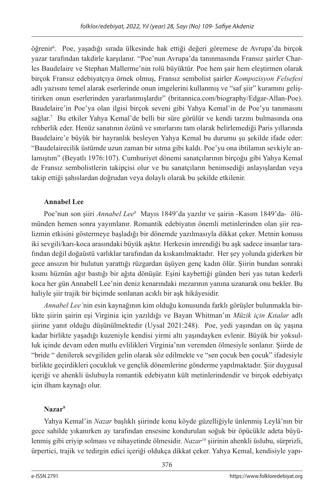öğrenir<sup>6</sup>. Poe, yaşadığı sırada ülkesinde hak ettiği değeri göremese de Avrupa'da birçok yazar tarafından takdirle karşılanır. "Poe'nun Avrupa'da tanınmasında Fransız şairler Charles Baudelaire ve Stephan Mallerme'nin rolü büyüktür. Poe hem şair hem eleştirmen olarak birçok Fransız edebiyatçıya örnek olmuş, Fransız sembolist şairler *Kompozisyon Felsefesi* adlı yazısını temel alarak eserlerinde onun imgelerini kullanmış ve "saf şiir" kuramını geliştirirken onun eserlerinden yararlanmışlardır" (britannica.com/biography/Edgar-Allan-Poe). Baudelaire'in Poe'ya olan ilgisi birçok seveni gibi Yahya Kemal'in de Poe'yu tanımasını sağlar.7 Bu etkiler Yahya Kemal'de belli bir süre görülür ve kendi tarzını bulmasında ona rehberlik eder. Henüz sanatının özünü ve sınırlarını tam olarak belirlemediği Paris yıllarında Baudelaire'e büyük bir hayranlık besleyen Yahya Kemal bu durumu şu şekilde ifade eder: "Baudelairecilik üstümde uzun zaman bir sıtma gibi kaldı. Poe'yu ona ibtilamın sevkiyle anlamıştım" (Beyatlı 1976:107). Cumhuriyet dönemi sanatçılarının birçoğu gibi Yahya Kemal de Fransız sembolistlerin takipçisi olur ve bu sanatçıların benimsediği anlayışlardan veya takip ettiği şahıslardan doğrudan veya dolaylı olarak bu şekilde etkilenir.

# **Annabel Lee**

Poe'nun son şiiri *Annabel Lee8* Mayıs 1849'da yazılır ve şairin -Kasım 1849'da- ölümünden hemen sonra yayımlanır. Romantik edebiyatın önemli metinlerinden olan şiir realizmin etkisini göstermeye başladığı bir dönemde yazılmasıyla dikkat çeker. Metnin konusu iki sevgili/karı-koca arasındaki büyük aşktır. Herkesin imrendiği bu aşk sadece insanlar tarafından değil doğaüstü varlıklar tarafından da kıskanılmaktadır. Her şey yolunda giderken bir gece ansızın bir bulutun yarattığı rüzgardan üşüyen genç kadın ölür. Şiirin bundan sonraki kısmı hüznün ağır bastığı bir ağıta dönüşür. Eşini kaybettiği günden beri yas tutan kederli koca her gün Annabell Lee'nin deniz kenarındaki mezarının yanına uzanarak onu bekler. Bu haliyle şiir trajik bir biçimde sonlanan acıklı bir aşk hikâyesidir.

*Annabel Lee'*nin esin kaynağının kim olduğu konusunda farklı görüşler bulunmakla birlikte şiirin şairin eşi Virginia için yazıldığı ve Bayan Whitman'ın *Müzik için Kıtalar* adlı şiirine yanıt olduğu düşünülmektedir (Uysal 2021:248). Poe, yedi yaşından on üç yaşına kadar birlikte yaşadığı kuzeniyle kendisi yirmi altı yaşındayken evlenir. Büyük bir yoksulluk içinde devam eden mutlu evlilikleri Virginia'nın veremden ölmesiyle sonlanır. Şiirde de "bride " denilerek sevgiliden gelin olarak söz edilmekte ve "sen çocuk ben çocuk" ifadesiyle birlikte geçirdikleri çocukluk ve gençlik dönemlerine gönderme yapılmaktadır. Şiir duygusal içeriği ve ahenkli üslubuyla romantik edebiyatın kült metinlerindendir ve birçok edebiyatçı için ilham kaynağı olur.

# **Nazar<sup>9</sup>**

Yahya Kemal'in *Nazar* başlıklı şiirinde konu köyde güzelliğiyle ünlenmiş Leylâ'nın bir gece sahilde yıkanırken ay tarafından ensesine kondurulan soğuk bir öpücükle adeta büyülenmiş gibi eriyip solması ve nihayetinde ölmesidir. *Nazar<sup>10</sup>* şiirinin ahenkli üslubu, sürprizli, ürpertici, trajik ve tedirgin edici içeriği oldukça dikkat çeker. Yahya Kemal, kendisiyle yapı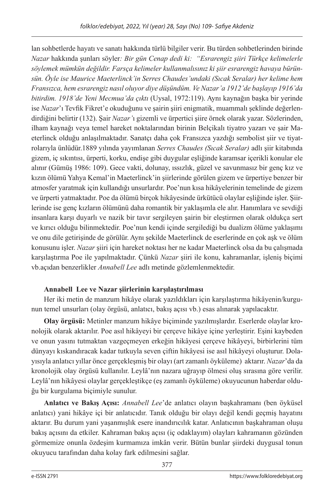lan sohbetlerde hayatı ve sanatı hakkında türlü bilgiler verir. Bu türden sohbetlerinden birinde *Nazar* hakkında şunları söyler*: Bir gün Cenap dedi ki: "Esrarengiz şiiri Türkçe kelimelerle söylemek mümkün değildir. Farsça kelimeler kullanmalısınız ki şiir esrarengiz havaya bürünsün. Öyle ise Maurice Maeterlinck'in Serres Chaudes'undaki (Sıcak Seralar) her kelime hem Fransızca, hem esrarengiz nasıl oluyor diye düşündüm. Ve Nazar'a 1912'de başlayıp 1916'da bitirdim. 1918'de Yeni Mecmua'da çıktı* (Uysal, 1972:119). Aynı kaynağın başka bir yerinde ise *Nazar*'ı Tevfik Fikret'e okuduğunu ve şairin şiiri enigmatik, muammalı şeklinde değerlendirdiğini belirtir (132). Şair *Nazar'*ı gizemli ve ürpertici şiire örnek olarak yazar. Sözlerinden, ilham kaynağı veya temel hareket noktalarından birinin Belçikalı tiyatro yazarı ve şair Maeterlinck olduğu anlaşılmaktadır. Sanatçı daha çok Fransızca yazdığı sembolist şiir ve tiyatrolarıyla ünlüdür.1889 yılında yayımlanan *Serres Chaudes (Sıcak Seralar)* adlı şiir kitabında gizem, iç sıkıntısı, ürperti, korku, endişe gibi duygular eşliğinde karamsar içerikli konular ele alınır (Gümüş 1986: 109). Gece vakti, dolunay, ıssızlık, güzel ve savunmasız bir genç kız ve kızın ölümü Yahya Kemal'in Maeterlinck'in şiirlerinde görülen gizem ve ürpertiye benzer bir atmosfer yaratmak için kullandığı unsurlardır. Poe'nun kısa hikâyelerinin temelinde de gizem ve ürperti yatmaktadır. Poe da ölümü birçok hikâyesinde ürkütücü olaylar eşliğinde işler. Şiirlerinde ise genç kızların ölümünü daha romantik bir yaklaşımla ele alır. Hanımlara ve sevdiği insanlara karşı duyarlı ve nazik bir tavır sergileyen şairin bir eleştirmen olarak oldukça sert ve kırıcı olduğu bilinmektedir. Poe'nun kendi içinde sergilediği bu dualizm ölüme yaklaşımı ve onu dile getirişinde de görülür. Aynı şekilde Maeterlinck de eserlerinde en çok aşk ve ölüm konusunu işler. *Nazar* şiiri için hareket noktası her ne kadar Maeterlinck olsa da bu çalışmada karşılaştırma Poe ile yapılmaktadır. Çünkü *Nazar* şiiri ile konu, kahramanlar, işleniş biçimi vb.açıdan benzerlikler *Annabell Lee* adlı metinde gözlemlenmektedir.

# **Annabell Lee ve Nazar şiirlerinin karşılaştırılması**

Her iki metin de manzum hikâye olarak yazıldıkları için karşılaştırma hikâyenin/kurgunun temel unsurları (olay örgüsü, anlatıcı, bakış açısı vb.) esas alınarak yapılacaktır.

**Olay örgüsü:** Metinler manzum hikâye biçiminde yazılmışlardır. Eserlerde olaylar kronolojik olarak aktarılır. Poe asıl hikâyeyi bir çerçeve hikâye içine yerleştirir. Eşini kaybeden ve onun yasını tutmaktan vazgeçmeyen erkeğin hikâyesi çerçeve hikâyeyi, birbirlerini tüm dünyayı kıskandıracak kadar tutkuyla seven çiftin hikâyesi ise asıl hikâyeyi oluşturur. Dolayısıyla anlatıcı yıllar önce gerçekleşmiş bir olayı (art zamanlı öyküleme) aktarır. *Nazar*'da da kronolojik olay örgüsü kullanılır. Leylâ'nın nazara uğrayıp ölmesi oluş sırasına göre verilir. Leylâ'nın hikâyesi olaylar gerçekleştikçe (eş zamanlı öyküleme) okuyucunun haberdar olduğu bir kurgulama biçimiyle sunulur.

**Anlatıcı ve Bakış Açısı:** *Annabell Lee*'de anlatıcı olayın başkahramanı (ben öyküsel anlatıcı) yani hikâye içi bir anlatıcıdır. Tanık olduğu bir olayı değil kendi geçmiş hayatını aktarır. Bu durum yani yaşanmışlık esere inandırıcılık katar. Anlatıcının başkahraman oluşu bakış açısını da etkiler. Kahraman bakış açısı (iç odaklayım) olayları kahramanın gözünden görmemize onunla özdeşim kurmamıza imkân verir. Bütün bunlar şiirdeki duygusal tonun okuyucu tarafından daha kolay fark edilmesini sağlar.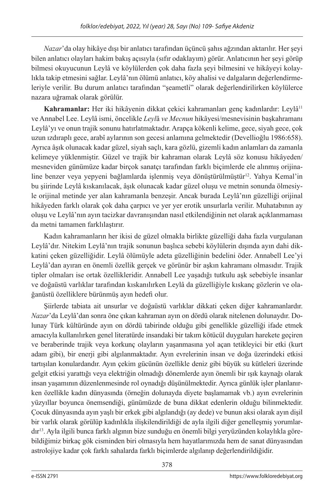*Nazar*'da olay hikâye dışı bir anlatıcı tarafından üçüncü şahıs ağzından aktarılır. Her şeyi bilen anlatıcı olayları hakim bakış açısıyla (sıfır odaklayım) görür. Anlatıcının her şeyi görüp bilmesi okuyucunun Leylâ ve köylülerden çok daha fazla şeyi bilmesini ve hikâyeyi kolaylıkla takip etmesini sağlar. Leylâ'nın ölümü anlatıcı, köy ahalisi ve dalgaların değerlendirmeleriyle verilir. Bu durum anlatıcı tarafından "şeametli" olarak değerlendirilirken köylülerce nazara uğramak olarak görülür.

Kahramanlar: Her iki hikâyenin dikkat çekici kahramanları genç kadınlardır: Leylâ<sup>11</sup> ve Annabel Lee. Leylâ ismi, öncelikle *Leyl*â *ve Mecnun* hikâyesi/mesnevisinin başkahramanı Leylâ'yı ve onun trajik sonunu hatırlatmaktadır. Arapça kökenli kelime, gece, siyah gece, çok uzun ızdıraplı gece, arabî aylarının son gecesi anlamına gelmektedir (Devellioğlu 1986:658). Ayrıca âşık olunacak kadar güzel, siyah saçlı, kara gözlü, gizemli kadın anlamları da zamanla kelimeye yüklenmiştir. Güzel ve trajik bir kahraman olarak Leylâ söz konusu hikâyeden/ mesneviden günümüze kadar birçok sanatçı tarafından farklı biçimlerde ele alınmış orijinaline benzer veya yepyeni bağlamlarda işlenmiş veya dönüştürülmüştür<sup>12</sup>. Yahya Kemal'in bu şiirinde Leylâ kıskanılacak, âşık olunacak kadar güzel oluşu ve metnin sonunda ölmesiyle orijinal metinde yer alan kahramanla benzeşir. Ancak burada Leylâ'nın güzelliği orijinal hikâyeden farklı olarak çok daha çarpıcı ve yer yer erotik unsurlarla verilir. Muhatabının ay oluşu ve Leylâ'nın ayın tacizkar davranışından nasıl etkilendiğinin net olarak açıklanmaması da metni tamamen farklılaştırır.

Kadın kahramanların her ikisi de güzel olmakla birlikte güzelliği daha fazla vurgulanan Leylâ'dır. Nitekim Leylâ'nın trajik sonunun başlıca sebebi köylülerin dışında ayın dahi dikkatini çeken güzelliğidir. Leylâ ölümüyle adeta güzelliğinin bedelini öder. Annabell Lee'yi Leylâ'dan ayıran en önemli özellik gerçek ve görünür bir aşkın kahramanı olmasıdır. Trajik tipler olmaları ise ortak özellikleridir. Annabell Lee yaşadığı tutkulu aşk sebebiyle insanlar ve doğaüstü varlıklar tarafından kıskanılırken Leylâ da güzelliğiyle kıskanç gözlerin ve olağanüstü özelliklere bürünmüş ayın hedefi olur.

Şiirlerde tabiata ait unsurlar ve doğaüstü varlıklar dikkati çeken diğer kahramanlardır. *Nazar*'da Leylâ'dan sonra öne çıkan kahraman ayın on dördü olarak nitelenen dolunaydır. Dolunay Türk kültüründe ayın on dördü tabirinde olduğu gibi genellikle güzelliği ifade etmek amacıyla kullanılırken genel literatürde insandaki bir takım kötücül duyguları harekete geçiren ve beraberinde trajik veya korkunç olayların yaşanmasına yol açan tetikleyici bir etki (kurt adam gibi), bir enerji gibi algılanmaktadır. Ayın evrelerinin insan ve doğa üzerindeki etkisi tartışılan konulardandır. Ayın çekim gücünün özellikle deniz gibi büyük su kütleleri üzerinde gelgit etkisi yarattığı veya elektriğin olmadığı dönemlerde ayın önemli bir ışık kaynağı olarak insan yaşamının düzenlenmesinde rol oynadığı düşünülmektedir. Ayrıca günlük işler planlanırken özellikle kadın dünyasında (örneğin dolunayda diyete başlamamak vb.) ayın evrelerinin yüzyıllar boyunca önemsendiği, günümüzde de buna dikkat edenlerin olduğu bilinmektedir. Çocuk dünyasında ayın yaşlı bir erkek gibi algılandığı (ay dede) ve bunun aksi olarak ayın dişil bir varlık olarak görülüp kadınlıkla ilişkilendirildiği de ayla ilgili diğer genelleşmiş yorumlardır13. Ayla ilgili bunca farklı algının bize sunduğu en önemli bilgi yeryüzünden kolaylıkla görebildiğimiz birkaç gök cisminden biri olmasıyla hem hayatlarımızda hem de sanat dünyasından astrolojiye kadar çok farklı sahalarda farklı biçimlerde algılanıp değerlendirildiğidir.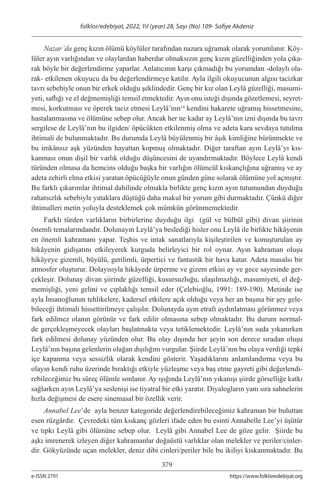*Nazar'da* genç kızın ölümü köylüler tarafından nazara uğramak olarak yorumlanır. Köylüler ayın varlığından ve olaylardan haberdar olmaksızın genç kızın güzelliğinden yola çıkarak böyle bir değerlendirme yaparlar. Anlatıcının karşı çıkmadığı bu yorumdan -dolaylı olarak- etkilenen okuyucu da bu değerlendirmeye katılır. Ayla ilgili okuyucunun algısı tacizkar tavrı sebebiyle onun bir erkek olduğu şeklindedir. Genç bir kız olan Leylâ güzelliği, masumiyeti, saflığı ve el değmemişliği temsil etmektedir. Ayın onu isteği dışında gözetlemesi, seyretmesi, korkutması ve öperek taciz etmesi Leylâ'nın14 kendini hakarete uğramış hissetmesine, hastalanmasına ve ölümüne sebep olur. Ancak her ne kadar ay Leylâ'nın izni dışında bu tavrı sergilese de Leylâ'nın bu ilgiden/ öpücükten etkilenmiş olma ve adeta kara sevdaya tutulma ihtimali de bulunmaktadır. Bu durumda Leylâ büyülenmiş bir âşık kimliğine bürünmekte ve bu imkânsız aşk yüzünden hayattan kopmuş olmaktadır. Diğer taraftan ayın Leylâ'yı kıskanması onun dişil bir varlık olduğu düşüncesini de uyandırmaktadır. Böylece Leylâ kendi türünden olmasa da hemcins olduğu başka bir varlığın ölümcül kıskançlığına uğramış ve ay adeta zehirli elma etkisi yaratan öpücüğüyle onun günden güne solarak ölümüne yol açmıştır. Bu farklı çıkarımlar ihtimal dahilinde olmakla birlikte genç kızın ayın tutumundan duyduğu rahatsızlık sebebiyle yataklara düştüğü daha makul bir yorum gibi durmaktadır. Çünkü diğer ihtimalleri metin yoluyla desteklemek çok mümkün görünmemektedir.

Farklı türden varlıkların birbirlerine duyduğu ilgi (gül ve bülbül gibi) divan şiirinin önemli temalarındandır. Dolunayın Leylâ'ya beslediği hisler onu Leylâ ile birlikte hikâyenin en önemli kahramanı yapar. Teşhis ve intak sanatlarıyla kişileştirilen ve konuşturulan ay hikâyenin gidişatını etkileyerek kurguda belirleyici bir rol oynar. Ayın kahraman oluşu hikâyeye gizemli, büyülü, gerilimli, ürpertici ve fantastik bir hava katar. Adeta masalsı bir atmosfer oluşturur. Dolayısıyla hikâyede ürperme ve gizem etkisi ay ve gece sayesinde gerçekleşir. Dolunay divan şiirinde güzelliği, kusursuzluğu, ulaşılmazlığı, masumiyeti, el değmemişliği, yeni gelini ve çıplaklığı temsil eder (Çelebioğlu, 1991: 189-190). Metinde ise ayla İnsanoğlunun tehlikelere, kadersel etkilere açık olduğu veya her an başına bir şey gelebileceği ihtimali hissettirilmeye çalışılır. Dolunayda ayın etrafı aydınlatması görünmez veya fark edilmez olanın görünür ve fark edilir olmasına sebep olmaktadır. Bu durum normalde gerçekleşmeyecek olayları başlatmakta veya tetiklemektedir. Leylâ'nın suda yıkanırken fark edilmesi dolunay yüzünden olur. Bu olay dışında her şeyin son derece sıradan oluşu Leylâ'nın başına gelenlerin olağan dışılığını vurgular. Şiirde Leylâ'nın bu olaya verdiği tepki içe kapanma veya sessizlik olarak kendini gösterir. Yaşadıklarını anlamlandırma veya bu olayın kendi ruhu üzerinde bıraktığı etkiyle yüzleşme veya baş etme gayreti gibi değerlendirebileceğimiz bu süreç ölümle sonlanır. Ay ışığında Leylâ'nın yıkanışı şiirde görselliğe katkı sağlarken ayın Leylâ'ya seslenişi ise tiyatral bir etki yaratır. Diyalogların yanı sıra sahnelerin hızla değişmesi de esere sinemasal bir özellik verir.

*Annabel Lee*'de ayla benzer kategoride değerlendirebileceğimiz kahraman bir buluttan esen rüzgârdır. Çevredeki tüm kıskanç gözleri ifade eden bu esinti Annabelle Lee'yi üşütür ve tıpkı Leylâ gibi ölümüne sebep olur. Leylâ gibi Annabel Lee de göze gelir. Şiirde bu aşkı imrenerek izleyen diğer kahramanlar doğaüstü varlıklar olan melekler ve periler/cinlerdir. Gökyüzünde uçan melekler, deniz dibi cinleri/periler bile bu ikiliyi kıskanmaktadır. Bu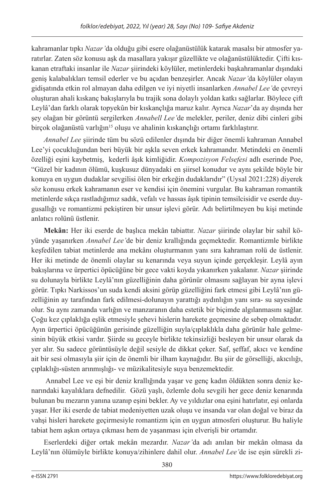kahramanlar tıpkı *Nazar'*da olduğu gibi esere olağanüstülük katarak masalsı bir atmosfer yaratırlar. Zaten söz konusu aşk da masallara yakışır güzellikte ve olağanüstülüktedir. Çifti kıskanan etraftaki insanlar ile *Nazar* şiirindeki köylüler, metinlerdeki başkahramanlar dışındaki geniş kalabalıkları temsil ederler ve bu açıdan benzeşirler. Ancak *Nazar'*da köylüler olayın gidişatında etkin rol almayan daha edilgen ve iyi niyetli insanlarken *Annabel Lee'*de çevreyi oluşturan ahali kıskanç bakışlarıyla bu trajik sona dolaylı yoldan katkı sağlarlar. Böylece çift Leylâ'dan farklı olarak topyekûn bir kıskançlığa maruz kalır. Ayrıca *Nazar*'da ay dışında her şey olağan bir görüntü sergilerken *Annabell Lee'*de melekler, periler, deniz dibi cinleri gibi birçok olağanüstü varlığın<sup>15</sup> oluşu ve ahalinin kıskançlığı ortamı farklılaştırır.

*Annabel Lee* şiirinde tüm bu sözü edilenler dışında bir diğer önemli kahraman Annabel Lee'yi çocukluğundan beri büyük bir aşkla seven erkek kahramandır. Metindeki en önemli özelliği eşini kaybetmiş, kederli âşık kimliğidir. *Kompozisyon Felsefesi* adlı eserinde Poe, "Güzel bir kadının ölümü, kuşkusuz dünyadaki en şiirsel konudur ve aynı şekilde böyle bir konuya en uygun dudaklar sevgilisi ölen bir erkeğin dudaklarıdır" (Uysal 2021:228) diyerek söz konusu erkek kahramanın eser ve kendisi için önemini vurgular. Bu kahraman romantik metinlerde sıkça rastladığımız sadık, vefalı ve hassas âşık tipinin temsilcisidir ve eserde duygusallığı ve romantizmi pekiştiren bir unsur işlevi görür. Adı belirtilmeyen bu kişi metinde anlatıcı rolünü üstlenir.

**Mekân:** Her iki eserde de başlıca mekân tabiattır. *Nazar* şiirinde olaylar bir sahil köyünde yaşanırken *Annabel Lee'*de bir deniz krallığında geçmektedir. Romantizmle birlikte keşfedilen tabiat metinlerde ana mekânı oluşturmanın yanı sıra kahraman rolü de üstlenir. Her iki metinde de önemli olaylar su kenarında veya suyun içinde gerçekleşir. Leylâ ayın bakışlarına ve ürpertici öpücüğüne bir gece vakti koyda yıkanırken yakalanır. *Nazar* şiirinde su dolunayla birlikte Leylâ'nın güzelliğinin daha görünür olmasını sağlayan bir ayna işlevi görür. Tıpkı Narkissos'un suda kendi aksini görüp güzelliğini fark etmesi gibi Leylâ'nın güzelliğinin ay tarafından fark edilmesi-dolunayın yarattığı aydınlığın yanı sıra- su sayesinde olur. Su aynı zamanda varlığın ve manzaranın daha estetik bir biçimde algılanmasını sağlar. Çoğu kez çıplaklığa eşlik etmesiyle şehevi hislerin harekete geçmesine de sebep olmaktadır. Ayın ürpertici öpücüğünün gerisinde güzelliğin suyla/çıplaklıkla daha görünür hale gelmesinin büyük etkisi vardır. Şiirde su geceyle birlikte tekinsizliği besleyen bir unsur olarak da yer alır. Su sadece görüntüsüyle değil sesiyle de dikkat çeker. Saf, şeffaf, akıcı ve kendine ait bir sesi olmasıyla şiir için de önemli bir ilham kaynağıdır. Bu şiir de görselliği, akıcılığı, çıplaklığı-süsten arınmışlığı- ve müzikalitesiyle suya benzemektedir.

 Annabel Lee ve eşi bir deniz krallığında yaşar ve genç kadın öldükten sonra deniz kenarındaki kayalıklara defnedilir. Gözü yaşlı, özlemle dolu sevgili her gece deniz kenarında bulunan bu mezarın yanına uzanıp eşini bekler. Ay ve yıldızlar ona eşini hatırlatır, eşi onlarda yaşar. Her iki eserde de tabiat medeniyetten uzak oluşu ve insanda var olan doğal ve biraz da vahşi hisleri harekete geçirmesiyle romantizm için en uygun atmosferi oluşturur. Bu haliyle tabiat hem aşkın ortaya çıkması hem de yaşanması için elverişli bir ortamdır.

Eserlerdeki diğer ortak mekân mezardır. *Nazar'*da adı anılan bir mekân olmasa da Leylâ'nın ölümüyle birlikte konuya/zihinlere dahil olur. *Annabel Lee'*de ise eşin sürekli zi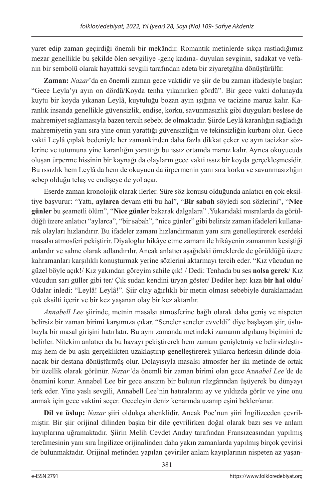yaret edip zaman geçirdiği önemli bir mekândır. Romantik metinlerde sıkça rastladığımız mezar genellikle bu şekilde ölen sevgiliye -genç kadına- duyulan sevginin, sadakat ve vefanın bir sembolü olarak hayattaki sevgili tarafından adeta bir ziyaretgâha dönüştürülür.

**Zaman:** *Nazar*'da en önemli zaman gece vaktidir ve şiir de bu zaman ifadesiyle başlar: "Gece Leyla'yı ayın on dördü/Koyda tenha yıkanırken gördü". Bir gece vakti dolunayda kuytu bir koyda yıkanan Leylâ, kuytuluğu bozan ayın ışığına ve tacizine maruz kalır. Karanlık insanda genellikle güvensizlik, endişe, korku, savunmasızlık gibi duyguları beslese de mahremiyet sağlamasıyla bazen tercih sebebi de olmaktadır. Şiirde Leylâ karanlığın sağladığı mahremiyetin yanı sıra yine onun yarattığı güvensizliğin ve tekinsizliğin kurbanı olur. Gece vakti Leylâ çıplak bedeniyle her zamankinden daha fazla dikkat çeker ve ayın tacizkar sözlerine ve tutumuna yine karanlığın yarattığı bu ıssız ortamda maruz kalır. Ayrıca okuyucuda oluşan ürperme hissinin bir kaynağı da olayların gece vakti ıssız bir koyda gerçekleşmesidir. Bu ıssızlık hem Leylâ da hem de okuyucu da ürpermenin yanı sıra korku ve savunmasızlığın sebep olduğu telaş ve endişeye de yol açar.

Eserde zaman kronolojik olarak ilerler. Süre söz konusu olduğunda anlatıcı en çok eksiltiye başvurur: "Yattı, **aylarca** devam etti bu hal", "**Bir sabah** söyledi son sözlerini", "**Nice günler** bu şeametli ölüm", "**Nice günler** bakarak dalgalara" .Yukarıdaki mısralarda da görüldüğü üzere anlatıcı "aylarca", "bir sabah", "nice günler" gibi belirsiz zaman ifadeleri kullanarak olayları hızlandırır. Bu ifadeler zamanı hızlandırmanın yanı sıra genelleştirerek eserdeki masalsı atmosferi pekiştirir. Diyaloglar hikâye etme zamanı ile hikâyenin zamanının kesiştiği anlardır ve sahne olarak adlandırılır. Ancak anlatıcı aşağıdaki örneklerde de görüldüğü üzere kahramanları karşılıklı konuşturmak yerine sözlerini aktarmayı tercih eder. "Kız vücudun ne güzel böyle açık!/ Kız yakından göreyim sahile çık! / Dedi: Tenhada bu ses **nolsa gerek**/ Kız vücudun sarı güller gibi ter/ Çık sudan kendini üryan göster/ Dediler hep: kıza **bir hal oldu**/ Odalar inledi: "Leylâ! Leylâ!". Şiir olay ağırlıklı bir metin olması sebebiyle duraklamadan çok eksilti içerir ve bir kez yaşanan olay bir kez aktarılır.

*Annabell Lee* şiirinde, metnin masalsı atmosferine bağlı olarak daha geniş ve nispeten belirsiz bir zaman birimi karşımıza çıkar. "Seneler seneler evveldi" diye başlayan şiir, üslubuyla bir masal girişini hatırlatır. Bu aynı zamanda metindeki zamanın algılanış biçimini de belirler. Nitekim anlatıcı da bu havayı pekiştirerek hem zamanı genişletmiş ve belirsizleştirmiş hem de bu aşkı gerçeklikten uzaklaştırıp genelleştirerek yıllarca herkesin dilinde dolanacak bir destana dönüştürmüş olur. Dolayısıyla masalsı atmosfer her iki metinde de ortak bir özellik olarak görünür. *Nazar'*da önemli bir zaman birimi olan gece An*nabel Lee'*de de önemini korur. Annabel Lee bir gece ansızın bir bulutun rüzgârından üşüyerek bu dünyayı terk eder. Yine yaslı sevgili, Annabell Lee'nin hatıralarını ay ve yıldızda görür ve yine onu anmak için gece vaktini seçer. Geceleyin deniz kenarında uzanıp eşini bekler/anar.

**Dil ve üslup:** *Nazar* şiiri oldukça ahenklidir. Ancak Poe'nun şiiri İngilizceden çevrilmiştir. Bir şiir orijinal dilinden başka bir dile çevrilirken doğal olarak bazı ses ve anlam kayıplarına uğramaktadır. Şiirin Melih Cevdet Anday tarafından Fransızcasından yapılmış tercümesinin yanı sıra İngilizce orijinalinden daha yakın zamanlarda yapılmış birçok çevirisi de bulunmaktadır. Orijinal metinden yapılan çeviriler anlam kayıplarının nispeten az yaşan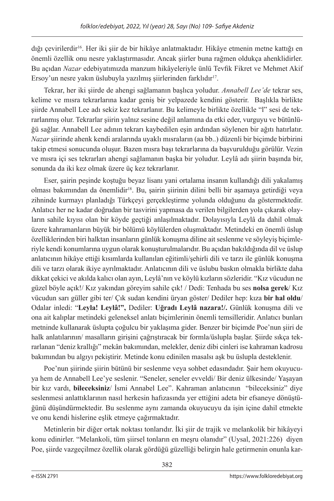dığı çevirilerdir16. Her iki şiir de bir hikâye anlatmaktadır. Hikâye etmenin metne kattığı en önemli özellik onu nesre yaklaştırmasıdır. Ancak şiirler buna rağmen oldukça ahenklidirler. Bu açıdan *Nazar* edebiyatımızda manzum hikâyeleriyle ünlü Tevfik Fikret ve Mehmet Akif Ersoy'un nesre yakın üslubuyla yazılmış şiirlerinden farklıdır<sup>17</sup>.

Tekrar, her iki şiirde de ahengi sağlamanın başlıca yoludur. *Annabell Lee'de* tekrar ses, kelime ve mısra tekrarlarına kadar geniş bir yelpazede kendini gösterir. Başlıkla birlikte şiirde Annabell Lee adı sekiz kez tekrarlanır. Bu kelimeyle birlikte özellikle "l" sesi de tekrarlanmış olur. Tekrarlar şiirin yalnız sesine değil anlamına da etki eder, vurguyu ve bütünlüğü sağlar. Annabell Lee adının tekrarı kaybedilen eşin ardından söylenen bir ağıtı hatırlatır. *Nazar* şiirinde ahenk kendi aralarında uyaklı mısraların (aa bb..) düzenli bir biçimde birbirini takip etmesi sonucunda oluşur. Bazen mısra başı tekrarlarına da başvurulduğu görülür. Vezin ve mısra içi ses tekrarları ahengi sağlamanın başka bir yoludur. Leylâ adı şiirin başında bir, sonunda da iki kez olmak üzere üç kez tekrarlanır.

Eser, şairin peşinde koştuğu beyaz lisanı yani ortalama insanın kullandığı dili yakalamış olması bakımından da önemlidir<sup>18</sup>. Bu, şairin şiirinin dilini belli bir aşamaya getirdiği veya zihninde kurmayı planladığı Türkçeyi gerçekleştirme yolunda olduğunu da göstermektedir. Anlatıcı her ne kadar doğrudan bir tasvirini yapmasa da verilen bilgilerden yola çıkarak olayların sahile kıyısı olan bir köyde geçtiği anlaşılmaktadır. Dolayısıyla Leylâ da dahil olmak üzere kahramanların büyük bir bölümü köylülerden oluşmaktadır. Metindeki en önemli üslup özelliklerinden biri halktan insanların günlük konuşma diline ait seslenme ve söyleyiş biçimleriyle kendi konumlarına uygun olarak konuşturulmalarıdır. Bu açıdan bakıldığında dil ve üslup anlatıcının hikâye ettiği kısımlarda kullanılan eğitimli/şehirli dili ve tarzı ile günlük konuşma dili ve tarzı olarak ikiye ayrılmaktadır. Anlatıcının dili ve üslubu baskın olmakla birlikte daha dikkat çekici ve akılda kalıcı olan ayın, Leylâ'nın ve köylü kızların sözleridir. "Kız vücudun ne güzel böyle açık!/ Kız yakından göreyim sahile çık! / Dedi: Tenhada bu ses **nolsa gerek**/ Kız vücudun sarı güller gibi ter/ Çık sudan kendini üryan göster/ Dediler hep: kıza **bir hal oldu**/ Odalar inledi: "**Leyla! Leylâ!",** Dediler: **Uğradı Leylâ nazara!/.** Günlük konuşma dili ve ona ait kalıplar metindeki geleneksel anlatı biçimlerinin önemli temsilleridir. Anlatıcı bunları metninde kullanarak üslupta çoğulcu bir yaklaşıma gider. Benzer bir biçimde Poe'nun şiiri de halk anlatılarının/ masalların girişini çağrıştıracak bir formla/üslupla başlar. Şiirde sıkça tekrarlanan "deniz krallığı" mekân bakımından, melekler, deniz dibi cinleri ise kahraman kadrosu bakımından bu algıyı pekiştirir. Metinde konu edinilen masalsı aşk bu üslupla desteklenir.

Poe'nun şiirinde şiirin bütünü bir seslenme veya sohbet edasındadır. Şair hem okuyucuya hem de Annabell Lee'ye seslenir. "Seneler, seneler evveldi/ Bir deniz ülkesinde/ Yaşayan bir kız vardı, **bileceksiniz**/ İsmi Annabel Lee". Kahraman anlatıcının "bileceksiniz" diye seslenmesi anlattıklarının nasıl herkesin hafızasında yer ettiğini adeta bir efsaneye dönüştüğünü düşündürmektedir. Bu seslenme aynı zamanda okuyucuyu da işin içine dahil etmekte ve onu kendi hislerine eşlik etmeye çağırmaktadır.

Metinlerin bir diğer ortak noktası tonlarıdır. İki şiir de trajik ve melankolik bir hikâyeyi konu edinirler. "Melankoli, tüm şiirsel tonların en meşru olanıdır" (Uysal, 2021:226) diyen Poe, şiirde vazgeçilmez özellik olarak gördüğü güzelliği belirgin hale getirmenin onunla kar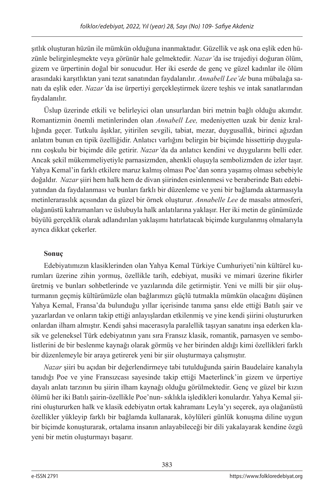şıtlık oluşturan hüzün ile mümkün olduğuna inanmaktadır. Güzellik ve aşk ona eşlik eden hüzünle belirginleşmekte veya görünür hale gelmektedir. *Nazar'*da ise trajediyi doğuran ölüm, gizem ve ürpertinin doğal bir sonucudur. Her iki eserde de genç ve güzel kadınlar ile ölüm arasındaki karşıtlıktan yani tezat sanatından faydalanılır. *Annabell Lee'de* buna mübalağa sanatı da eşlik eder. *Nazar'*da ise ürpertiyi gerçekleştirmek üzere teşhis ve intak sanatlarından faydalanılır.

Üslup üzerinde etkili ve belirleyici olan unsurlardan biri metnin bağlı olduğu akımdır. Romantizmin önemli metinlerinden olan *Annabell Lee,* medeniyetten uzak bir deniz krallığında geçer. Tutkulu âşıklar, yitirilen sevgili, tabiat, mezar, duygusallık, birinci ağızdan anlatım bunun en tipik özelliğidir. Anlatıcı varlığını belirgin bir biçimde hissettirip duygularını coşkulu bir biçimde dile getirir. *Nazar'*da da anlatıcı kendini ve duygularını belli eder. Ancak şekil mükemmeliyetiyle parnasizmden, ahenkli oluşuyla sembolizmden de izler taşır. Yahya Kemal'in farklı etkilere maruz kalmış olması Poe'dan sonra yaşamış olması sebebiyle doğaldır. *Nazar* şiiri hem halk hem de divan şiirinden esinlenmesi ve beraberinde Batı edebiyatından da faydalanması ve bunları farklı bir düzenleme ve yeni bir bağlamda aktarmasıyla metinlerarasılık açısından da güzel bir örnek oluşturur. *Annabelle Lee* de masalsı atmosferi, olağanüstü kahramanları ve üslubuyla halk anlatılarına yaklaşır. Her iki metin de günümüzde büyülü gerçeklik olarak adlandırılan yaklaşımı hatırlatacak biçimde kurgulanmış olmalarıyla ayrıca dikkat çekerler.

# **Sonuç**

Edebiyatımızın klasiklerinden olan Yahya Kemal Türkiye Cumhuriyeti'nin kültürel kurumları üzerine zihin yormuş, özellikle tarih, edebiyat, musiki ve mimari üzerine fikirler üretmiş ve bunları sohbetlerinde ve yazılarında dile getirmiştir. Yeni ve milli bir şiir oluşturmanın geçmiş kültürümüzle olan bağlarımızı güçlü tutmakla mümkün olacağını düşünen Yahya Kemal, Fransa'da bulunduğu yıllar içerisinde tanıma şansı elde ettiği Batılı şair ve yazarlardan ve onların takip ettiği anlayışlardan etkilenmiş ve yine kendi şiirini oluştururken onlardan ilham almıştır. Kendi şahsi macerasıyla paralellik taşıyan sanatını inşa ederken klasik ve geleneksel Türk edebiyatının yanı sıra Fransız klasik, romantik, parnasyen ve sembolistlerini de bir beslenme kaynağı olarak görmüş ve her birinden aldığı kimi özellikleri farklı bir düzenlemeyle bir araya getirerek yeni bir şiir oluşturmaya çalışmıştır.

*Nazar* şiiri bu açıdan bir değerlendirmeye tabi tutulduğunda şairin Baudelaire kanalıyla tanıdığı Poe ve yine Fransızcası sayesinde takip ettiği Maeterlinck'in gizem ve ürpertiye dayalı anlatı tarzının bu şiirin ilham kaynağı olduğu görülmektedir. Genç ve güzel bir kızın ölümü her iki Batılı şairin-özellikle Poe'nun- sıklıkla işledikleri konulardır. Yahya Kemal şiirini oluştururken halk ve klasik edebiyatın ortak kahramanı Leyla'yı seçerek, aya olağanüstü özellikler yükleyip farklı bir bağlamda kullanarak, köylüleri günlük konuşma diline uygun bir biçimde konuşturarak, ortalama insanın anlayabileceği bir dili yakalayarak kendine özgü yeni bir metin oluşturmayı başarır.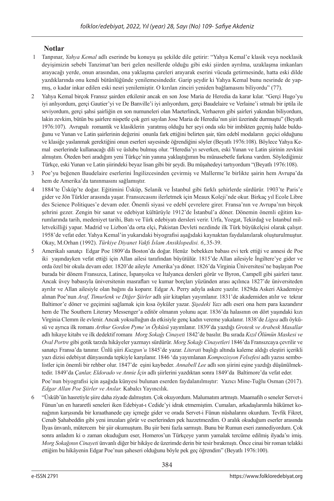## **Notlar**

- 1 Tanpınar, *Yahya Kemal* adlı eserinde bu konuyu şu şekilde dile getirir: "Yahya Kemal'e klasik veya noeklasik deyişimizin sebebi Tanzimat'tan beri gelen nesillerde olduğu gibi eski şiirden ayrılma, uzaklaşma imkanları arayacağı yerde, onun arasından, ona yaklaşma çareleri arayarak eserini vücuda getirmesinde, hatta eski dilde yazdıklarında onu kendi bütünlüğünde yenilemesindedir. Garip şeydir ki Yahya Kemal bunu nesrinde de yapmış, o kadar inkar edilen eski nesri yenilemiştir. O kırılan zinciri yeniden bağlamasını biliyordu" (77).
- 2 Yahya Kemal birçok Fransız şairden etkilenir ancak en son Jose Maria de Heredia da karar kılar. "Gerçi Hugo'yu iyi anlıyordum, gerçi Gautier'yi ve De Banville'i iyi anlıyordum, gerçi Baudelaire ve Verlaine'i sıtmalı bir iptila ile seviyordum, gerçi şahsi şairliğin en son numuneleri olan Maeterlinck, Verhaeren gibi şairleri yakından biliyordum, lakin zevkim, bütün bu şairlere nispetle çok geri sayılan Jose Maria de Heredia'nın şiiri üzerinde durmuştu" (Beyatlı 1976:107). Avrupalı romantik ve klasiklerin yaratmış olduğu her şeyi onda sıkı bir imbikten geçmiş halde bulduğunu ve Yunan ve Latin şairlerinin değerini onunla fark ettiğini belirten şair, tüm edebî modaların geçici olduğunu ve klasiğe yaslanmak gerektiğini onun eserleri sayesinde öğrendiğini söyler (Beyatlı 1976:108). Böylece Yahya Kemal eserlerinde kullanacağı dili ve üslubu bulmuş olur. "Heredia'yı severken, eski Yunan ve Latin şiirinin zevkini almıştım. Öteden beri aradığım yeni Türkçe'nin yanına yaklaştığımın bu münasebetle farkına vardım. Söylediğimiz Türkçe, eski Yunan ve Latin şiirindeki beyaz lisan gibi bir şeydi. Bu müşahedeyi tartıyordum "(Beyatlı 1976:108).
- 3 Poe'yu beğenen Baudelaire eserlerini İngilizcesinden çevirmiş ve Mallerme'le birlikte şairin hem Avrupa'da hem de Amerika'da tanınmasını sağlamıştır.
- 4 1884'te Üsküp'te doğar. Eğitimini Üsküp, Selanik ve İstanbul gibi farklı şehirlerde sürdürür. 1903'te Paris'e gider ve Jön Türkler arasında yaşar. Fransızcasını ilerletmek için Meaux Koleji'nde okur. Birkaç yıl Ecole Libre des Science Politiques'e devam eder. Önemli siyasi ve edebî çevrelere girer. Fransa'nın ve Avrupa'nın birçok şehrini gezer. Zengin bir sanat ve edebiyat kültürüyle 1912'de İstanbul'a döner. Dönemin önemli eğitim kurumlarında tarih, medeniyet tarihi, Batı ve Türk edebiyatı dersleri verir. Urfa, Yozgat, Tekirdağ ve İstanbul milletvekilliği yapar. Madrid ve Lizbon'da orta elçi, Pakistan Devleti nezdinde ilk Türk büyükelçisi olarak çalışır. 1958'de vefat eder. Yahya Kemal'in yukarıdaki biyografisi aşağıdaki kaynaktan faydalanılarak oluşturulmuştur. Okay, M.Orhan (1992). *Türkiye Diyanet Vakfı İslam Ansiklopedisi. 6*,.35-39.
- 5 Amerikalı sanatçı Edgar Poe 1809'da Boston'da doğar. Henüz bebekken babası evi terk ettiği ve annesi de Poe iki yaşındayken vefat ettiği için Allan ailesi tarafından büyütülür. 1815'de Allan ailesiyle İngiltere'ye gider ve orda özel bir okula devam eder. 1820'de aileyle Amerika'ya döner. 1826'da Virginia Üniversitesi'ne başlayan Poe burada bir dönem Fransızca, Latince, İspanyolca ve İtalyanca dersleri görür ve Byron, Campell gibi şairleri tanır. Ancak üvey babasıyla üniversitenin masrafları ve kumar borçları yüzünden arası açılınca 1827'de üniversiteden ayrılır ve Allan ailesiyle olan bağını da koparır. Edgar A. Perry adıyla askere yazılır. 1829da Askeri Akademiye alınan Poe'nun *Araf, Timurlenk ve Diğer Şiirler* adlı şiir kitapları yayımlanır. 1831'de akademiden atılır ve tekrar Baltimor'e döner ve geçimini sağlamak için kısa öyküler yazar. *Şişedeki Yazı* adlı eseri ona hem para kazandırır hem de The Southern Literary Messenger'a editör olmanın yolunu açar. 1836'da halasının on dört yaşındaki kızı Virginia Clemm ile evlenir. Ancak yoksulluğun da etkisiyle genç kadın vereme yakalanır. 1838'de *Ligea* adlı öyküsü ve ayrıca ilk romanı *Arthur Gordon Pyme'ın Öyküsü* yayımlanır. 1839'da yazdığı *Grotesk ve Arabesk Masallar*  adlı hikaye kitabı ve ilk dedektif romanı *Morg Sokağı Cinayeti* 1842'de basılır. Bu sırada *Kızıl Ölümün Maskesi ve Oval Portre* gibi gotik tarzda hikâyeler yazmayı sürdürür. *Morg Sokağı Cinayetleri* 1846'da Fransızcaya çevrilir ve sanatçı Fransa'da tanınır. Ünlü şiiri *Kuzgun'u* 1845'de yazar. *Literati* başlığı altında kaleme aldığı eleştiri içerikli yazı dizisi edebiyat dünyasında tepkiyle karşılanır. 1846 'da yayımlanan *Kompozisyon Felsefesi* adlı yazısı sembolistler için önemli bir rehber olur. 1847'de eşini kaybeder. *Annabell Lee* adlı son şiirini eşine yazdığı düşünülmektedir. 1849'da *Çanlar, Eldorado ve Annie İçin* adlı şiirlerini yazdıktan sonra 1849'da Baltimore'da vefat eder. Poe'nun biyografisi için aşağıda künyesi bulunan eserden faydalanılmıştır: Yazıcı Mine-Tuğlu Osman (2017). *Edgar Allan Poe Şiirler ve Anılar.* Kabalcı Yayıncılık.
- 6 "Üsküb'ün hasretiyle şiire daha ziyade dalmıştım. Çok okuyordum. Malumatım artmıştı. Maamafih o seneler Servet-i Fünun'un en hararetli seneleri iken Edebiyat-ı Cedide'yi idrak etmemiştim. Cumaları, arkadaşlarımla hükümet konağının karşısında bir kıraathanede çay içmeğe gider ve orada Servet-i Fünun nüshalarını okurdum. Tevfik Fikret, Cenab Şahabeddin gibi yeni imzaları görür ve eserlerinden pek hazzetmezdim. O aralık okuduğum eserler arasında İlyas ünvanlı, mütercem bir şiir okumuştum. Bu şiir beni fazla sarmıştı. Bunu bir Rumun eseri zannediyordum. Çok sonra anladım ki o zaman okuduğum eser, Homeros'un Türkçeye yarım yamalak tercüme edilmiş ilyada'sı imiş. *Morg Sokağının Cinayeti* ünvanlı diğer bir hikâye de üzerimde derin bir tesir bırakmıştı. Önce cinai bir roman telakki ettiğim bu hikâyenin Edgar Poe'nun şaheseri olduğunu böyle pek geç öğrendim" (Beyatlı 1976:100).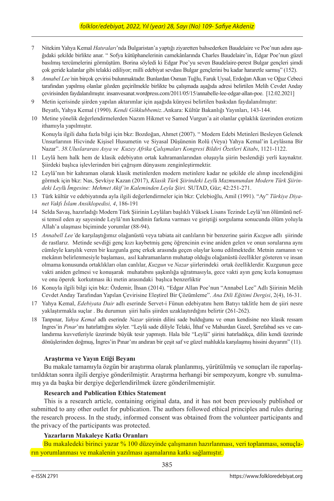- 7 Nitekim Yahya Kemal *Hatıraları*'nda Bulgaristan'a yaptığı ziyaretten bahsederken Baudelaire ve Poe'nun adını aşağıdaki şekilde birlikte anar. " Sofya kütüphanelerinin camekânlarında Charles Baudelaire'in, Edgar Poe'nun güzel basılmış tercümelerini görmüştüm. Borina söyledi ki Edgar Poe'yu seven Baudelaire-perest Bulgar gençleri şimdi çok geride kalanlar gibi telakki ediliyor; milli edebiyat sevdası Bulgar gençlerini bu kadar hararetle sarmış" (152).
- 8 *Annabel Lee'*nin birçok çevirisi bulunmaktadır. Bunlardan Osman Tuğlu, Faruk Uysal, Erdoğan Alkan ve Oğuz Cebeci tarafından yapılmış olanlar gözden geçirilmekle birlikte bu çalışmada aşağıda adresi belirtilen Melih Cevdet Anday çevirisinden faydalanılmıştır. insanvesanat.wordpress.com/2011/05/15/annabelle-lee-edgar-allan-poe. [12.02.2021]
- 9 Metin içerisinde şiirden yapılan aktarımlar için aşağıda künyesi belirtilen baskıdan faydalanılmıştır: Beyatlı, Yahya Kemal (1990). *Kendi Gökkubbemiz.*.Ankara: Kültür Bakanlığı Yayınları, 143-144.
- 10 Metine yönelik değerlendirmelerden Nazım Hikmet ve Samed Vurgun'a ait olanlar çıplaklık üzerinden erotizm ithamıyla yapılmıştır.

Konuyla ilgili daha fazla bilgi için bkz: Bozdoğan, Ahmet (2007). " Modern Edebi Metinleri Besleyen Gelenek Unsurlarının Hicvinde Kişisel Husumetin ve Siyasal Düşünenin Rolü (Veya) Yahya Kemal'in Leylâsına Bir Nazar". *38.Uluslararası Asya ve Kuzey Afrika Çalışmaları Kongresi Bildiri Özetleri Kitabı*, 1121-1122.

- 11 Leylâ hem halk hem de klasik edebiyatın ortak kahramanlarından oluşuyla şiirin beslendiği yerli kaynaktır. Şiirdeki başlıca işlevlerinden biri çağrışım dünyasını zenginleştirmektir.
- 12 Leylâ'nın bir kahraman olarak klasik metinlerden modern metinlere kadar ne şekilde ele alınıp incelendiğini görmek için bkz: Nas, Şevkiye Kazan (2017), *Klasik Türk Şiirindeki Leyl*â *Mazmunundan Modern Türk Şiirindeki Leyl*â *İmgesine: Mehmet Akif'in Kaleminden Leyla Şiiri.* SUTAD, Güz; 42:251-271.
- 13 Türk kültür ve edebiyatında ayla ilgili değerlendirmeler için bkz: Çelebioğlu, Amil (1991). "Ay" *Türkiye Diyanet Vakfı İslam Ansiklopedisi, 4*, 186-191
- 14 Selda Savaş, hazırladığı Modern Türk Şiirinin Leylâları başlıklı Yüksek Lisans Tezinde Leylâ'nın ölümünü nefsi temsil eden ay sayesinde Leylâ'nın kendinin farkına varması ve giriştiği sorgulama sonucunda ölüm yoluyla Allah'a ulaşması biçiminde yorumlar (88-94).
- 15 *Annabell Lee'*de karşılaştığımız olağanüstü veya tabiata ait canlıların bir benzerine şairin *Kuzgun* adlı şiirinde de rastlarız. Metinde sevdiği genç kızı kaybetmiş genç öğrencinin evine aniden gelen ve onun sorularına aynı cümleyle karşılık veren bir kuzgunla genç erkek arasında geçen olaylar konu edilmektedir. Metnin zamanın ve mekânın belirlenmesiyle başlaması, asıl kahramanların muhatap olduğu olağanüstü özellikler gösteren ve insan olmama konusunda ortaklıkları olan canlılar, *Kuzgun* ve *Nazar* şiirlerindeki ortak özelliklerdir. Kuzgunun gece vakti aniden gelmesi ve konuşarak muhatabını şaşkınlığa uğratmasıyla, gece vakti ayın genç kızla konuşması ve onu öperek korkutması iki metin arasındaki başlıca benzerliktir
- 16 Konuyla ilgili bilgi için bkz: Özdemir, İhsan (2014). "Edgar Allan Poe'nun "Annabel Lee" Adlı Şiirinin Melih Cevdet Anday Tarafından Yapılan Çevirisine Eleştirel Bir Çözümleme". *Ana Dili Eğitimi Dergisi*, 2(4), 16-31.
- 17 Yahya Kemal, *Edebiyata Dair* adlı eserinde Servet-i Fünun edebiyatını hem Batıyı taklitle hem de şiiri nesre yaklaştırmakla suçlar . Bu durumun şiiri halis şiirden uzaklaştırdığını belirtir (261-262).
- 18 Tanpınar, *Yahya Kemal* adlı eserinde *Nazar* şiirinin dilini sade bulduğunu ve onun kendisine neo klasik ressam Ingres'in *Pınar*'ını hatırlattığını söyler. "Leylâ sade diliyle Telaki, İthaf ve Mahurdan Gazel, Şerefabad ses ve canlandırma kuvvetleriyle üzerimde büyük tesir yapmıştı. Hala bile "Leylâ" şiirini hatırladıkça, dilin kendi üzerinde dönüşlerinden doğmuş, İngres'in Pınar'ını andıran bir çeşit saf ve güzel mahlukla karşılaşmış hissini duyarım" (11).

#### **Araştırma ve Yayın Etiği Beyanı**

Bu makale tamamıyla özgün bir araştırma olarak planlanmış, yürütülmüş ve sonuçları ile raporlaştırıldıktan sonra ilgili dergiye gönderilmiştir. Araştırma herhangi bir sempozyum, kongre vb. sunulmamış ya da başka bir dergiye değerlendirilmek üzere gönderilmemiştir.

#### **Research and Publication Ethics Statement**

This is a research article, containing original data, and it has not been previously published or submitted to any other outlet for publication. The authors followed ethical principles and rules during the research process. In the study, informed consent was obtained from the volunteer participants and the privacy of the participants was protected.

## **Yazarların Makaleye Katkı Oranları**

Bu makaledeki birinci yazar % 100 düzeyinde çalışmanın hazırlanması, veri toplanması, sonuçların yorumlanması ve makalenin yazılması aşamalarına katkı sağlamıştır.